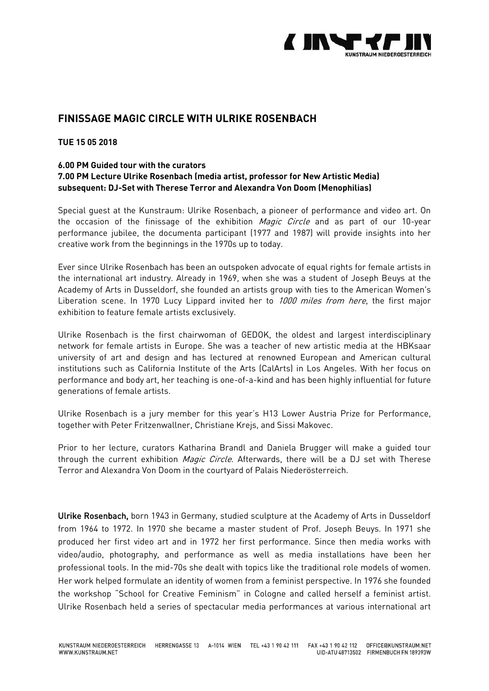

# **FINISSAGE MAGIC CIRCLE WITH ULRIKE ROSENBACH**

### **TUE 15 05 2018**

#### **6.00 PM Guided tour with the curators**

## **7.00 PM Lecture Ulrike Rosenbach (media artist, professor for New Artistic Media) subsequent: DJ-Set with Therese Terror and Alexandra Von Doom (Menophilias)**

Special guest at the Kunstraum: Ulrike Rosenbach, a pioneer of performance and video art. On the occasion of the finissage of the exhibition Magic Circle and as part of our 10-vear performance jubilee, the documenta participant (1977 and 1987) will provide insights into her creative work from the beginnings in the 1970s up to today.

Ever since Ulrike Rosenbach has been an outspoken advocate of equal rights for female artists in the international art industry. Already in 1969, when she was a student of Joseph Beuys at the Academy of Arts in Dusseldorf, she founded an artists group with ties to the American Women's Liberation scene. In 1970 Lucy Lippard invited her to 1000 miles from here, the first major exhibition to feature female artists exclusively.

Ulrike Rosenbach is the first chairwoman of GEDOK, the oldest and largest interdisciplinary network for female artists in Europe. She was a teacher of new artistic media at the HBKsaar university of art and design and has lectured at renowned European and American cultural institutions such as California Institute of the Arts (CalArts) in Los Angeles. With her focus on performance and body art, her teaching is one-of-a-kind and has been highly influential for future generations of female artists.

Ulrike Rosenbach is a jury member for this year's H13 Lower Austria Prize for Performance, together with Peter Fritzenwallner, Christiane Krejs, and Sissi Makovec.

Prior to her lecture, curators Katharina Brandl and Daniela Brugger will make a guided tour through the current exhibition *Magic Circle*. Afterwards, there will be a DJ set with Therese Terror and Alexandra Von Doom in the courtyard of Palais Niederösterreich.

Ulrike Rosenbach, born 1943 in Germany, studied sculpture at the Academy of Arts in Dusseldorf from 1964 to 1972. In 1970 she became a master student of Prof. Joseph Beuys. In 1971 she produced her first video art and in 1972 her first performance. Since then media works with video/audio, photography, and performance as well as media installations have been her professional tools. In the mid-70s she dealt with topics like the traditional role models of women. Her work helped formulate an identity of women from a feminist perspective. In 1976 she founded the workshop "School for Creative Feminism" in Cologne and called herself a feminist artist. Ulrike Rosenbach held a series of spectacular media performances at various international art